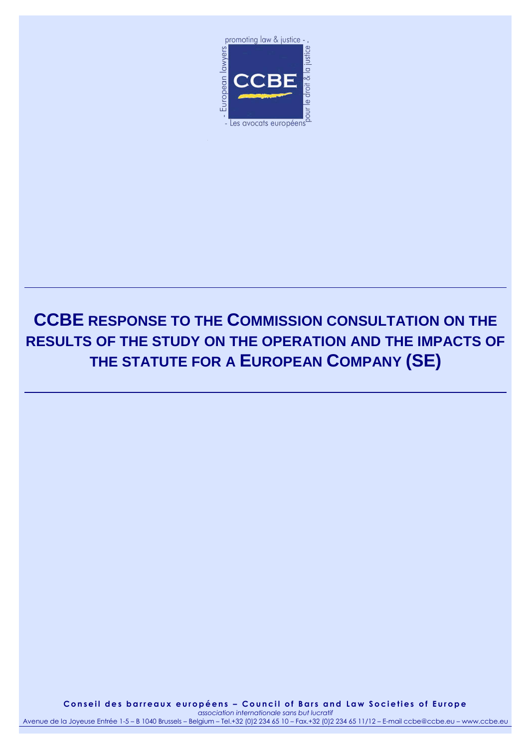

# **CCBE RESPONSE TO THE COMMISSION CONSULTATION ON THE RESULTS OF THE STUDY ON THE OPERATION AND THE IMPACTS OF THE STATUTE FOR A EUROPEAN COMPANY (SE)**

Conseil des barreaux européens - Council of Bars and Law Societies of Europe *association internationale sans but lucratif* Avenue de la Joyeuse Entrée 1-5 – B 1040 Brussels – Belgium – Tel.+32 (0)2 234 65 10 – Fax.+32 (0)2 234 65 11/12 – E-mail ccbe@ccbe.eu – www.ccbe.eu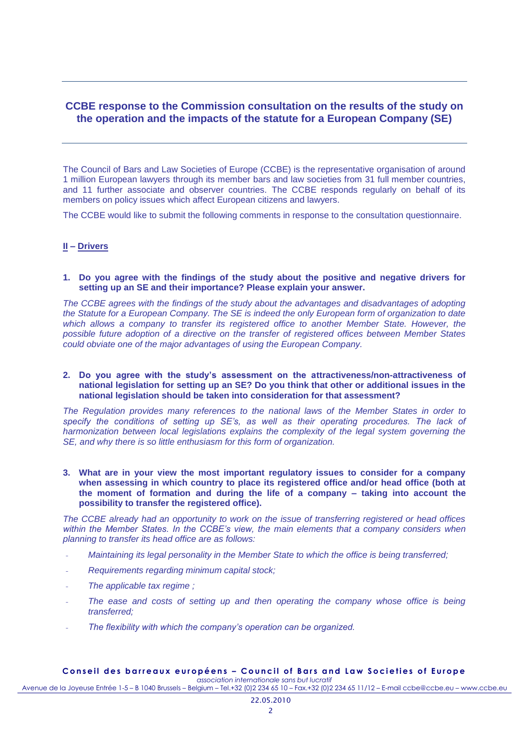## **CCBE response to the Commission consultation on the results of the study on the operation and the impacts of the statute for a European Company (SE)**

The Council of Bars and Law Societies of Europe (CCBE) is the representative organisation of around 1 million European lawyers through its member bars and law societies from 31 full member countries, and 11 further associate and observer countries. The CCBE responds regularly on behalf of its members on policy issues which affect European citizens and lawyers.

The CCBE would like to submit the following comments in response to the consultation questionnaire.

#### **II – Drivers**

#### **1. Do you agree with the findings of the study about the positive and negative drivers for setting up an SE and their importance? Please explain your answer.**

*The CCBE agrees with the findings of the study about the advantages and disadvantages of adopting the Statute for a European Company. The SE is indeed the only European form of organization to date which allows a company to transfer its registered office to another Member State. However, the possible future adoption of a directive on the transfer of registered offices between Member States could obviate one of the major advantages of using the European Company.*

#### **2. Do you agree with the study's assessment on the attractiveness/non-attractiveness of national legislation for setting up an SE? Do you think that other or additional issues in the national legislation should be taken into consideration for that assessment?**

*The Regulation provides many references to the national laws of the Member States in order to specify the conditions of setting up SE's, as well as their operating procedures. The lack of harmonization between local legislations explains the complexity of the legal system governing the SE, and why there is so little enthusiasm for this form of organization.*

**3. What are in your view the most important regulatory issues to consider for a company when assessing in which country to place its registered office and/or head office (both at the moment of formation and during the life of a company – taking into account the possibility to transfer the registered office).**

*The CCBE already had an opportunity to work on the issue of transferring registered or head offices within the Member States. In the CCBE's view, the main elements that a company considers when planning to transfer its head office are as follows:*

- *Maintaining its legal personality in the Member State to which the office is being transferred;*
- *Requirements regarding minimum capital stock;*
- *The applicable tax regime ;*
- The ease and costs of setting up and then operating the company whose office is being *transferred;*
- *The flexibility with which the company's operation can be organized.*

#### Conseil des barreaux européens - Council of Bars and Law Societies of Europe *association internationale sans but lucratif*

Avenue de la Joyeuse Entrée 1-5 – B 1040 Brussels – Belgium – Tel.+32 (0)2 234 65 10 – Fax.+32 (0)2 234 65 11/12 – E-mail ccbe@ccbe.eu – www.ccbe.eu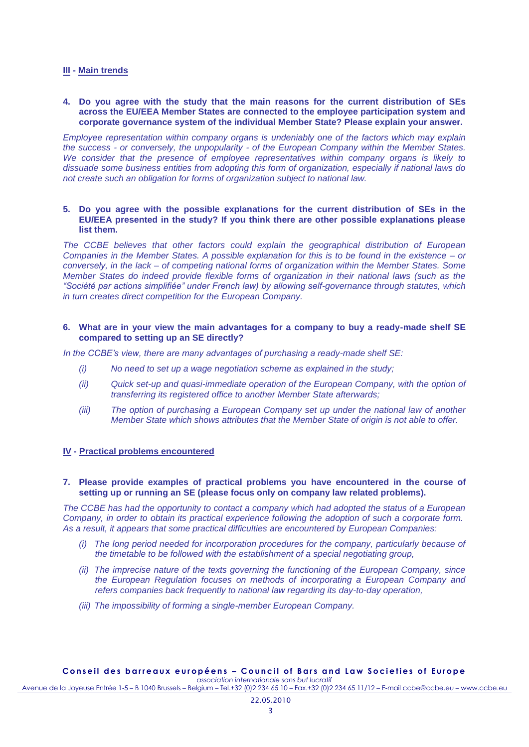#### **III - Main trends**

#### **4. Do you agree with the study that the main reasons for the current distribution of SEs across the EU/EEA Member States are connected to the employee participation system and corporate governance system of the individual Member State? Please explain your answer.**

*Employee representation within company organs is undeniably one of the factors which may explain the success - or conversely, the unpopularity - of the European Company within the Member States. We consider that the presence of employee representatives within company organs is likely to dissuade some business entities from adopting this form of organization, especially if national laws do not create such an obligation for forms of organization subject to national law.*

#### **5. Do you agree with the possible explanations for the current distribution of SEs in the EU/EEA presented in the study? If you think there are other possible explanations please list them.**

*The CCBE believes that other factors could explain the geographical distribution of European Companies in the Member States. A possible explanation for this is to be found in the existence – or conversely, in the lack – of competing national forms of organization within the Member States. Some Member States do indeed provide flexible forms of organization in their national laws (such as the "Société par actions simplifiée" under French law) by allowing self-governance through statutes, which in turn creates direct competition for the European Company.*

#### **6. What are in your view the main advantages for a company to buy a ready-made shelf SE compared to setting up an SE directly?**

*In the CCBE's view, there are many advantages of purchasing a ready-made shelf SE:*

- *(i) No need to set up a wage negotiation scheme as explained in the study;*
- *(ii) Quick set-up and quasi-immediate operation of the European Company, with the option of transferring its registered office to another Member State afterwards;*
- *(iii) The option of purchasing a European Company set up under the national law of another Member State which shows attributes that the Member State of origin is not able to offer.*

#### **IV - Practical problems encountered**

#### **7. Please provide examples of practical problems you have encountered in the course of setting up or running an SE (please focus only on company law related problems).**

*The CCBE has had the opportunity to contact a company which had adopted the status of a European Company, in order to obtain its practical experience following the adoption of such a corporate form. As a result, it appears that some practical difficulties are encountered by European Companies:*

- *(i) The long period needed for incorporation procedures for the company, particularly because of the timetable to be followed with the establishment of a special negotiating group,*
- *(ii) The imprecise nature of the texts governing the functioning of the European Company, since the European Regulation focuses on methods of incorporating a European Company and refers companies back frequently to national law regarding its day-to-day operation,*
- *(iii) The impossibility of forming a single-member European Company.*

Avenue de la Joyeuse Entrée 1-5 – B 1040 Brussels – Belgium – Tel.+32 (0)2 234 65 10 – Fax.+32 (0)2 234 65 11/12 – E-mail ccbe@ccbe.eu – www.ccbe.eu